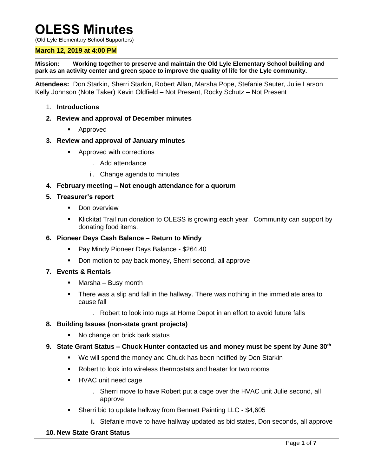# **OLESS Minutes**

(**O**ld **L**yle **E**lementary **S**chool **S**upporters)

#### **March 12, 2019 at 4:00 PM**

**Mission: Working together to preserve and maintain the Old Lyle Elementary School building and park as an activity center and green space to improve the quality of life for the Lyle community.**

**Attendees:** Don Starkin, Sherri Starkin, Robert Allan, Marsha Pope, Stefanie Sauter, Julie Larson Kelly Johnson (Note Taker) Kevin Oldfield – Not Present, Rocky Schutz – Not Present

- 1. **Introductions**
- **2. Review and approval of December minutes**
	- **Approved**
- **3. Review and approval of January minutes**
	- **Approved with corrections** 
		- i. Add attendance
		- ii. Change agenda to minutes
- **4. February meeting – Not enough attendance for a quorum**
- **5. Treasurer's report** 
	- **Don overview**
	- Klickitat Trail run donation to OLESS is growing each year. Community can support by donating food items.
- **6. Pioneer Days Cash Balance – Return to Mindy**
	- Pay Mindy Pioneer Days Balance \$264.40
	- Don motion to pay back money, Sherri second, all approve

#### **7. Events & Rentals**

- Marsha Busy month
- There was a slip and fall in the hallway. There was nothing in the immediate area to cause fall
	- i. Robert to look into rugs at Home Depot in an effort to avoid future falls

#### **8. Building Issues (non-state grant projects)**

- No change on brick bark status
- **9. State Grant Status – Chuck Hunter contacted us and money must be spent by June 30th**
	- We will spend the money and Chuck has been notified by Don Starkin
	- Robert to look into wireless thermostats and heater for two rooms
	- HVAC unit need cage
		- i. Sherri move to have Robert put a cage over the HVAC unit Julie second, all approve
	- Sherri bid to update hallway from Bennett Painting LLC \$4,605
		- **i.** Stefanie move to have hallway updated as bid states, Don seconds, all approve

#### **10. New State Grant Status**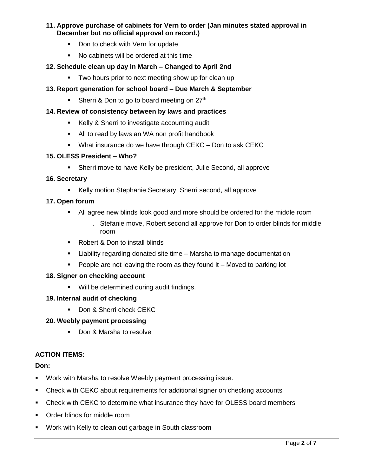# **11. Approve purchase of cabinets for Vern to order (Jan minutes stated approval in December but no official approval on record.)**

- Don to check with Vern for update
- No cabinets will be ordered at this time

# **12. Schedule clean up day in March – Changed to April 2nd**

Two hours prior to next meeting show up for clean up

# **13. Report generation for school board – Due March & September**

Sherri & Don to go to board meeting on  $27<sup>th</sup>$ 

# **14. Review of consistency between by laws and practices**

- **Kelly & Sherri to investigate accounting audit**
- All to read by laws an WA non profit handbook
- What insurance do we have through CEKC Don to ask CEKC

#### **15. OLESS President – Who?**

Sherri move to have Kelly be president, Julie Second, all approve

## **16. Secretary**

Kelly motion Stephanie Secretary, Sherri second, all approve

# **17. Open forum**

- All agree new blinds look good and more should be ordered for the middle room
	- i. Stefanie move, Robert second all approve for Don to order blinds for middle room
- Robert & Don to install blinds
- Liability regarding donated site time Marsha to manage documentation
- **People are not leaving the room as they found it Moved to parking lot**

## **18. Signer on checking account**

Will be determined during audit findings.

## **19. Internal audit of checking**

Don & Sherri check CEKC

## **20. Weebly payment processing**

Don & Marsha to resolve

## **ACTION ITEMS:**

## **Don:**

- **Work with Marsha to resolve Weebly payment processing issue.**
- Check with CEKC about requirements for additional signer on checking accounts
- Check with CEKC to determine what insurance they have for OLESS board members
- **•** Order blinds for middle room
- Work with Kelly to clean out garbage in South classroom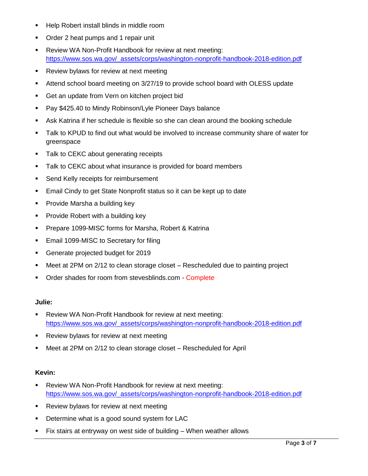- **Help Robert install blinds in middle room**
- Order 2 heat pumps and 1 repair unit
- Review WA Non-Profit Handbook for review at next meeting: [https://www.sos.wa.gov/\\_assets/corps/washington-nonprofit-handbook-2018-edition.pdf](https://www.sos.wa.gov/_assets/corps/washington-nonprofit-handbook-2018-edition.pdf)
- **Review bylaws for review at next meeting**
- Attend school board meeting on 3/27/19 to provide school board with OLESS update
- **Get an update from Vern on kitchen project bid**
- **Pay \$425.40 to Mindy Robinson/Lyle Pioneer Days balance**
- Ask Katrina if her schedule is flexible so she can clean around the booking schedule
- Talk to KPUD to find out what would be involved to increase community share of water for greenspace
- **Talk to CEKC about generating receipts**
- **Talk to CEKC about what insurance is provided for board members**
- **Send Kelly receipts for reimbursement**
- **Email Cindy to get State Nonprofit status so it can be kept up to date**
- **Provide Marsha a building key**
- **Provide Robert with a building key**
- **Prepare 1099-MISC forms for Marsha, Robert & Katrina**
- **Email 1099-MISC to Secretary for filing**
- Generate projected budget for 2019
- Meet at 2PM on 2/12 to clean storage closet Rescheduled due to painting project
- Order shades for room from stevesblinds.com Complete

#### **Julie:**

- Review WA Non-Profit Handbook for review at next meeting: [https://www.sos.wa.gov/\\_assets/corps/washington-nonprofit-handbook-2018-edition.pdf](https://www.sos.wa.gov/_assets/corps/washington-nonprofit-handbook-2018-edition.pdf)
- **Review bylaws for review at next meeting**
- Meet at 2PM on 2/12 to clean storage closet Rescheduled for April

## **Kevin:**

- Review WA Non-Profit Handbook for review at next meeting: [https://www.sos.wa.gov/\\_assets/corps/washington-nonprofit-handbook-2018-edition.pdf](https://www.sos.wa.gov/_assets/corps/washington-nonprofit-handbook-2018-edition.pdf)
- **Review bylaws for review at next meeting**
- **Determine what is a good sound system for LAC**
- Fix stairs at entryway on west side of building When weather allows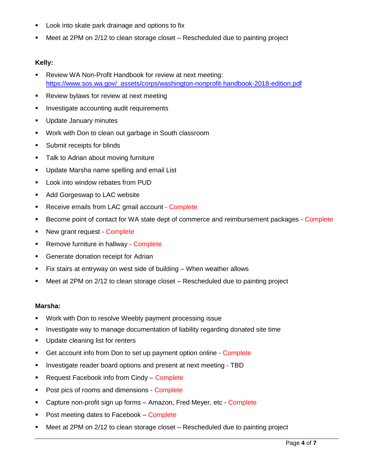- **Look into skate park drainage and options to fix**
- Meet at 2PM on 2/12 to clean storage closet Rescheduled due to painting project

# **Kelly:**

- Review WA Non-Profit Handbook for review at next meeting: [https://www.sos.wa.gov/\\_assets/corps/washington-nonprofit-handbook-2018-edition.pdf](https://www.sos.wa.gov/_assets/corps/washington-nonprofit-handbook-2018-edition.pdf)
- **Review bylaws for review at next meeting**
- **Investigate accounting audit requirements**
- **Update January minutes**
- Work with Don to clean out garbage in South classroom
- **Submit receipts for blinds**
- **Talk to Adrian about moving furniture**
- **Update Marsha name spelling and email List**
- **-** Look into window rebates from PUD
- **Add Gorgeswap to LAC website**
- Receive emails from LAC gmail account Complete
- **Become point of contact for WA state dept of commerce and reimbursement packages Complete**
- New grant request Complete
- **Remove furniture in hallway Complete**
- **Generate donation receipt for Adrian**
- Fix stairs at entryway on west side of building When weather allows
- Meet at 2PM on 2/12 to clean storage closet Rescheduled due to painting project

## **Marsha:**

- **Work with Don to resolve Weebly payment processing issue**
- **Investigate way to manage documentation of liability regarding donated site time**
- **Update cleaning list for renters**
- Get account info from Don to set up payment option online Complete
- **Investigate reader board options and present at next meeting TBD**
- **Request Facebook info from Cindy Complete**
- Post pics of rooms and dimensions Complete
- **Capture non-profit sign up forms Amazon, Fred Meyer, etc Complete**
- Post meeting dates to Facebook Complete
- Meet at 2PM on 2/12 to clean storage closet Rescheduled due to painting project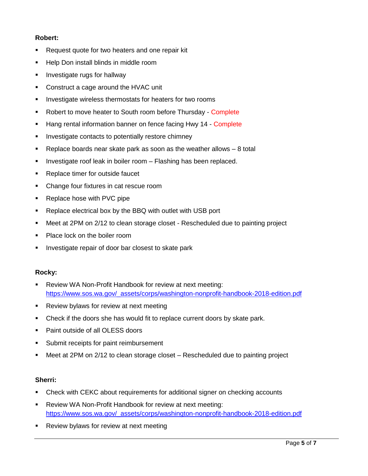# **Robert:**

- **Request quote for two heaters and one repair kit**
- **Help Don install blinds in middle room**
- **Investigate rugs for hallway**
- **Construct a cage around the HVAC unit**
- **Investigate wireless thermostats for heaters for two rooms**
- Robert to move heater to South room before Thursday Complete
- Hang rental information banner on fence facing Hwy 14 Complete
- **Investigate contacts to potentially restore chimney**
- $\blacksquare$  Replace boards near skate park as soon as the weather allows  $-8$  total
- **Investigate roof leak in boiler room Flashing has been replaced.**
- Replace timer for outside faucet
- Change four fixtures in cat rescue room
- **Replace hose with PVC pipe**
- Replace electrical box by the BBQ with outlet with USB port
- Meet at 2PM on 2/12 to clean storage closet Rescheduled due to painting project
- Place lock on the boiler room
- **Investigate repair of door bar closest to skate park**

## **Rocky:**

- Review WA Non-Profit Handbook for review at next meeting: [https://www.sos.wa.gov/\\_assets/corps/washington-nonprofit-handbook-2018-edition.pdf](https://www.sos.wa.gov/_assets/corps/washington-nonprofit-handbook-2018-edition.pdf)
- **Review bylaws for review at next meeting**
- Check if the doors she has would fit to replace current doors by skate park.
- **Paint outside of all OLESS doors**
- Submit receipts for paint reimbursement
- Meet at 2PM on 2/12 to clean storage closet Rescheduled due to painting project

## **Sherri:**

- **EXP** Check with CEKC about requirements for additional signer on checking accounts
- Review WA Non-Profit Handbook for review at next meeting: [https://www.sos.wa.gov/\\_assets/corps/washington-nonprofit-handbook-2018-edition.pdf](https://www.sos.wa.gov/_assets/corps/washington-nonprofit-handbook-2018-edition.pdf)
- **Review bylaws for review at next meeting**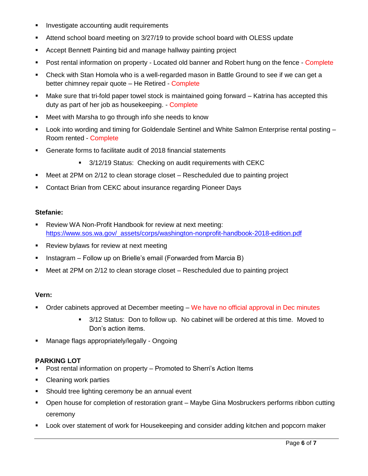- **Investigate accounting audit requirements**
- Attend school board meeting on 3/27/19 to provide school board with OLESS update
- Accept Bennett Painting bid and manage hallway painting project
- Post rental information on property Located old banner and Robert hung on the fence Complete
- Check with Stan Homola who is a well-regarded mason in Battle Ground to see if we can get a better chimney repair quote – He Retired - Complete
- Make sure that tri-fold paper towel stock is maintained going forward Katrina has accepted this duty as part of her job as housekeeping. - Complete
- Meet with Marsha to go through info she needs to know
- Look into wording and timing for Goldendale Sentinel and White Salmon Enterprise rental posting Room rented - Complete
- Generate forms to facilitate audit of 2018 financial statements
	- 3/12/19 Status: Checking on audit requirements with CEKC
- Meet at 2PM on 2/12 to clean storage closet Rescheduled due to painting project
- **Contact Brian from CEKC about insurance regarding Pioneer Days**

#### **Stefanie:**

- Review WA Non-Profit Handbook for review at next meeting: [https://www.sos.wa.gov/\\_assets/corps/washington-nonprofit-handbook-2018-edition.pdf](https://www.sos.wa.gov/_assets/corps/washington-nonprofit-handbook-2018-edition.pdf)
- **Review bylaws for review at next meeting**
- **Instagram Follow up on Brielle's email (Forwarded from Marcia B)**
- Meet at 2PM on 2/12 to clean storage closet Rescheduled due to painting project

#### **Vern:**

- **Order cabinets approved at December meeting We have no official approval in Dec minutes** 
	- 3/12 Status: Don to follow up. No cabinet will be ordered at this time. Moved to Don's action items.
- **Manage flags appropriately/legally Ongoing**

## **PARKING LOT**

- Post rental information on property Promoted to Sherri's Action Items
- Cleaning work parties
- **Should tree lighting ceremony be an annual event**
- Open house for completion of restoration grant Maybe Gina Mosbruckers performs ribbon cutting ceremony
- Look over statement of work for Housekeeping and consider adding kitchen and popcorn maker